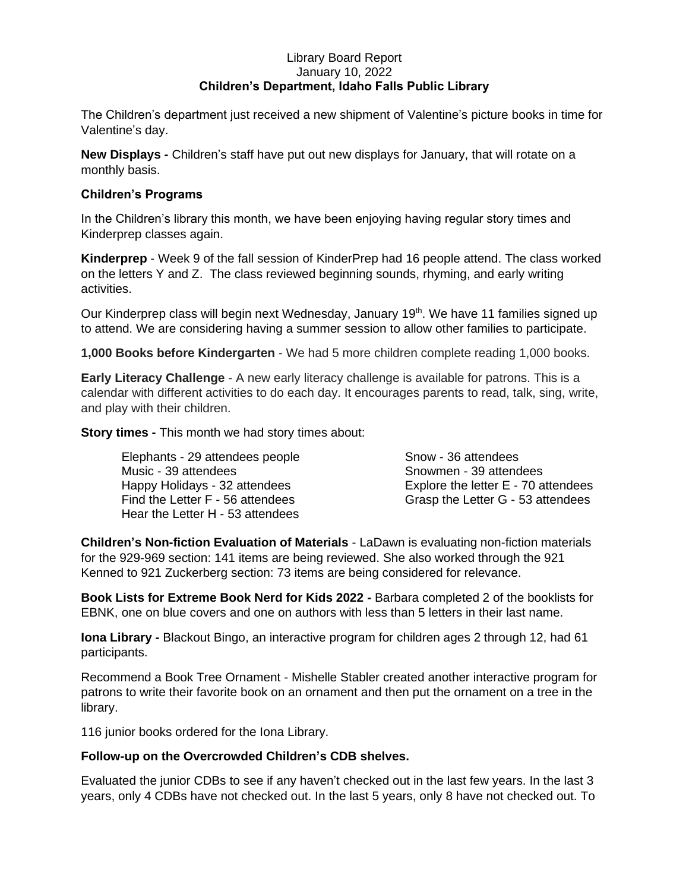## Library Board Report January 10, 2022 **Children's Department, Idaho Falls Public Library**

The Children's department just received a new shipment of Valentine's picture books in time for Valentine's day.

**New Displays -** Children's staff have put out new displays for January, that will rotate on a monthly basis.

## **Children's Programs**

In the Children's library this month, we have been enjoying having regular story times and Kinderprep classes again.

**Kinderprep** - Week 9 of the fall session of KinderPrep had 16 people attend. The class worked on the letters Y and Z. The class reviewed beginning sounds, rhyming, and early writing activities.

Our Kinderprep class will begin next Wednesday, January 19<sup>th</sup>. We have 11 families signed up to attend. We are considering having a summer session to allow other families to participate.

**1,000 Books before Kindergarten** - We had 5 more children complete reading 1,000 books.

**Early Literacy Challenge** - A new early literacy challenge is available for patrons. This is a calendar with different activities to do each day. It encourages parents to read, talk, sing, write, and play with their children.

**Story times -** This month we had story times about:

Elephants - 29 attendees people Snow - 36 attendees Music - 39 attendees Snowmen - 39 attendees Happy Holidays - 32 attendees Explore the letter E - 70 attendees Find the Letter F - 56 attendees Grasp the Letter G - 53 attendees Hear the Letter H - 53 attendees

**Children's Non-fiction Evaluation of Materials** - LaDawn is evaluating non-fiction materials for the 929-969 section: 141 items are being reviewed. She also worked through the 921 Kenned to 921 Zuckerberg section: 73 items are being considered for relevance.

**Book Lists for Extreme Book Nerd for Kids 2022 -** Barbara completed 2 of the booklists for EBNK, one on blue covers and one on authors with less than 5 letters in their last name.

**Iona Library -** Blackout Bingo, an interactive program for children ages 2 through 12, had 61 participants.

Recommend a Book Tree Ornament - Mishelle Stabler created another interactive program for patrons to write their favorite book on an ornament and then put the ornament on a tree in the library.

116 junior books ordered for the Iona Library.

## **Follow-up on the Overcrowded Children's CDB shelves.**

Evaluated the junior CDBs to see if any haven't checked out in the last few years. In the last 3 years, only 4 CDBs have not checked out. In the last 5 years, only 8 have not checked out. To